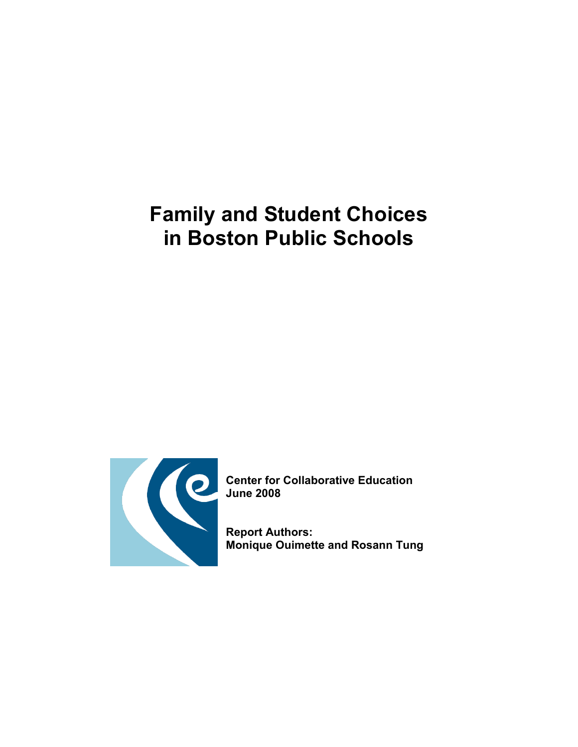# Family and Student Choices in Boston Public Schools



Center for Collaborative Education

Report Authors: Monique Ouimette and Rosann Tung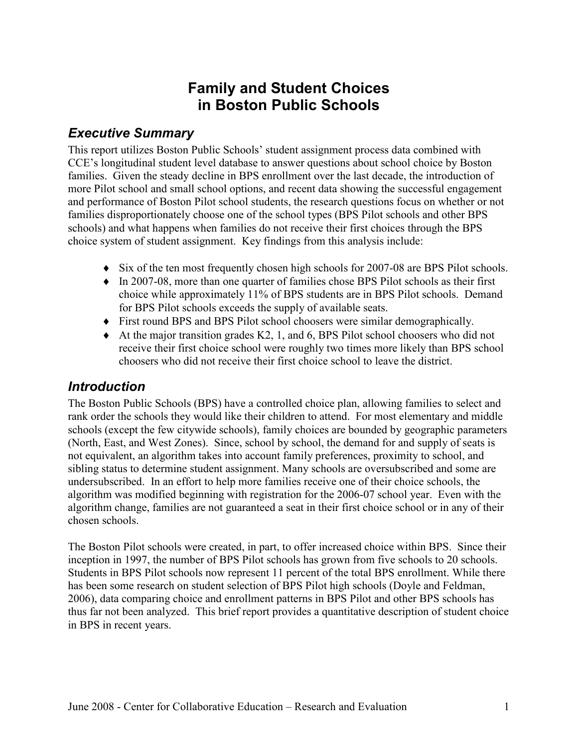# Family and Student Choices in Boston Public Schools

## Executive Summary

This report utilizes Boston Public Schools' student assignment process data combined with CCE's longitudinal student level database to answer questions about school choice by Boston families. Given the steady decline in BPS enrollment over the last decade, the introduction of more Pilot school and small school options, and recent data showing the successful engagement and performance of Boston Pilot school students, the research questions focus on whether or not families disproportionately choose one of the school types (BPS Pilot schools and other BPS schools) and what happens when families do not receive their first choices through the BPS choice system of student assignment. Key findings from this analysis include:

- ♦ Six of the ten most frequently chosen high schools for 2007-08 are BPS Pilot schools.
- ♦ In 2007-08, more than one quarter of families chose BPS Pilot schools as their first choice while approximately 11% of BPS students are in BPS Pilot schools. Demand for BPS Pilot schools exceeds the supply of available seats.
- ♦ First round BPS and BPS Pilot school choosers were similar demographically.
- ♦ At the major transition grades K2, 1, and 6, BPS Pilot school choosers who did not receive their first choice school were roughly two times more likely than BPS school choosers who did not receive their first choice school to leave the district.

## **Introduction**

The Boston Public Schools (BPS) have a controlled choice plan, allowing families to select and rank order the schools they would like their children to attend. For most elementary and middle schools (except the few citywide schools), family choices are bounded by geographic parameters (North, East, and West Zones). Since, school by school, the demand for and supply of seats is not equivalent, an algorithm takes into account family preferences, proximity to school, and sibling status to determine student assignment. Many schools are oversubscribed and some are undersubscribed. In an effort to help more families receive one of their choice schools, the algorithm was modified beginning with registration for the 2006-07 school year. Even with the algorithm change, families are not guaranteed a seat in their first choice school or in any of their chosen schools.

The Boston Pilot schools were created, in part, to offer increased choice within BPS. Since their inception in 1997, the number of BPS Pilot schools has grown from five schools to 20 schools. Students in BPS Pilot schools now represent 11 percent of the total BPS enrollment. While there has been some research on student selection of BPS Pilot high schools (Doyle and Feldman, 2006), data comparing choice and enrollment patterns in BPS Pilot and other BPS schools has thus far not been analyzed. This brief report provides a quantitative description of student choice in BPS in recent years.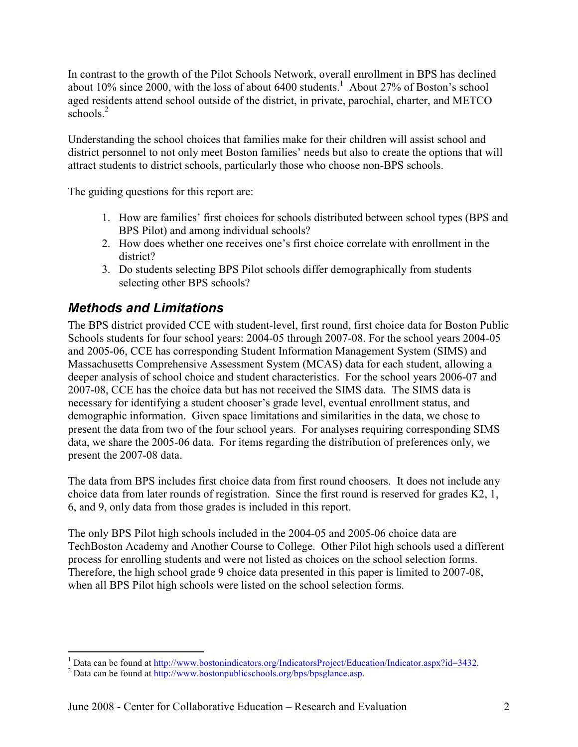In contrast to the growth of the Pilot Schools Network, overall enrollment in BPS has declined about 10% since 2000, with the loss of about  $6400$  students.<sup>1</sup> About 27% of Boston's school aged residents attend school outside of the district, in private, parochial, charter, and METCO schools.<sup>2</sup>

Understanding the school choices that families make for their children will assist school and district personnel to not only meet Boston families' needs but also to create the options that will attract students to district schools, particularly those who choose non-BPS schools.

The guiding questions for this report are:

- 1. How are families' first choices for schools distributed between school types (BPS and BPS Pilot) and among individual schools?
- 2. How does whether one receives one's first choice correlate with enrollment in the district?
- 3. Do students selecting BPS Pilot schools differ demographically from students selecting other BPS schools?

# Methods and Limitations

The BPS district provided CCE with student-level, first round, first choice data for Boston Public Schools students for four school years: 2004-05 through 2007-08. For the school years 2004-05 and 2005-06, CCE has corresponding Student Information Management System (SIMS) and Massachusetts Comprehensive Assessment System (MCAS) data for each student, allowing a deeper analysis of school choice and student characteristics. For the school years 2006-07 and 2007-08, CCE has the choice data but has not received the SIMS data. The SIMS data is necessary for identifying a student chooser's grade level, eventual enrollment status, and demographic information. Given space limitations and similarities in the data, we chose to present the data from two of the four school years. For analyses requiring corresponding SIMS data, we share the 2005-06 data. For items regarding the distribution of preferences only, we present the 2007-08 data.

The data from BPS includes first choice data from first round choosers. It does not include any choice data from later rounds of registration. Since the first round is reserved for grades K2, 1, 6, and 9, only data from those grades is included in this report.

The only BPS Pilot high schools included in the 2004-05 and 2005-06 choice data are TechBoston Academy and Another Course to College. Other Pilot high schools used a different process for enrolling students and were not listed as choices on the school selection forms. Therefore, the high school grade 9 choice data presented in this paper is limited to 2007-08, when all BPS Pilot high schools were listed on the school selection forms.

<sup>1&</sup>lt;br>
<sup>1</sup> Data can be found at <u>http://www.bostonindicators.org/IndicatorsProject/Education/Indicator.aspx?id=3432</u>.

<sup>&</sup>lt;sup>2</sup> Data can be found at http://www.bostonpublicschools.org/bps/bpsglance.asp.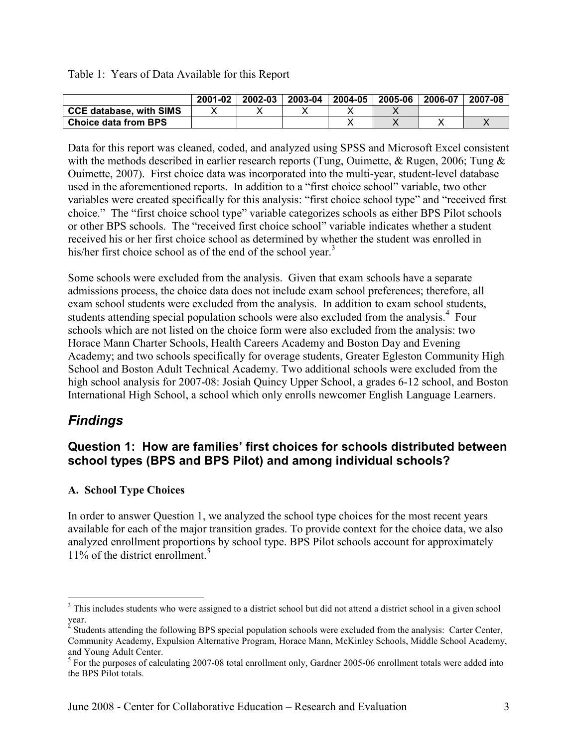Table 1: Years of Data Available for this Report

|                                | 2001-02 | 2002-03 | 2003-04 | 2004-05 | 2005-06 | 2006-07 | 2007-08 |
|--------------------------------|---------|---------|---------|---------|---------|---------|---------|
| <b>CCE database, with SIMS</b> |         |         |         |         |         |         |         |
| Choice data from BPS           |         |         |         |         |         |         |         |

Data for this report was cleaned, coded, and analyzed using SPSS and Microsoft Excel consistent with the methods described in earlier research reports (Tung, Ouimette, & Rugen, 2006; Tung & Ouimette, 2007). First choice data was incorporated into the multi-year, student-level database used in the aforementioned reports. In addition to a "first choice school" variable, two other variables were created specifically for this analysis: "first choice school type" and "received first choice." The "first choice school type" variable categorizes schools as either BPS Pilot schools or other BPS schools. The "received first choice school" variable indicates whether a student received his or her first choice school as determined by whether the student was enrolled in his/her first choice school as of the end of the school year. $3$ 

Some schools were excluded from the analysis. Given that exam schools have a separate admissions process, the choice data does not include exam school preferences; therefore, all exam school students were excluded from the analysis. In addition to exam school students, students attending special population schools were also excluded from the analysis.<sup>4</sup> Four schools which are not listed on the choice form were also excluded from the analysis: two Horace Mann Charter Schools, Health Careers Academy and Boston Day and Evening Academy; and two schools specifically for overage students, Greater Egleston Community High School and Boston Adult Technical Academy. Two additional schools were excluded from the high school analysis for 2007-08: Josiah Quincy Upper School, a grades 6-12 school, and Boston International High School, a school which only enrolls newcomer English Language Learners.

## Findings

 $\overline{a}$ 

### Question 1: How are families' first choices for schools distributed between school types (BPS and BPS Pilot) and among individual schools?

#### A. School Type Choices

In order to answer Question 1, we analyzed the school type choices for the most recent years available for each of the major transition grades. To provide context for the choice data, we also analyzed enrollment proportions by school type. BPS Pilot schools account for approximately 11% of the district enrollment.<sup>5</sup>

<sup>&</sup>lt;sup>3</sup> This includes students who were assigned to a district school but did not attend a district school in a given school

year.<br><sup>4</sup> Students attending the following BPS special population schools were excluded from the analysis: Carter Center, Community Academy, Expulsion Alternative Program, Horace Mann, McKinley Schools, Middle School Academy,

and Young Adult Center.<br><sup>5</sup> For the purposes of calculating 2007-08 total enrollment only, Gardner 2005-06 enrollment totals were added into the BPS Pilot totals.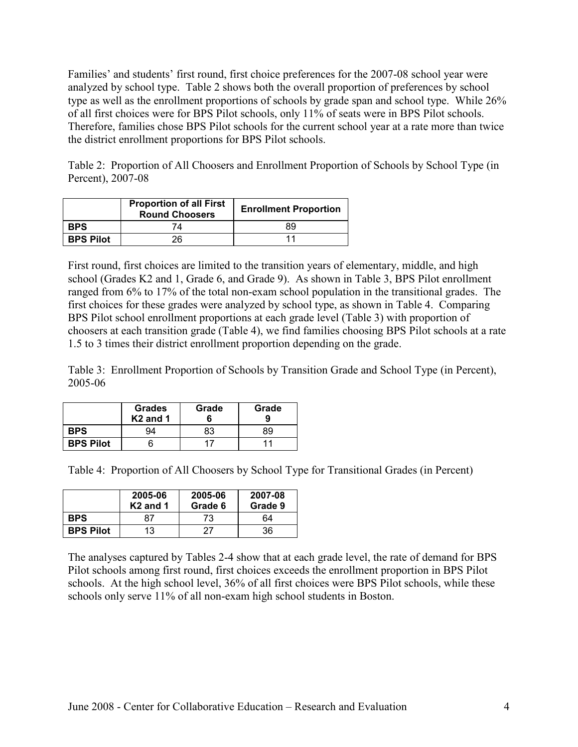Families' and students' first round, first choice preferences for the 2007-08 school year were analyzed by school type. Table 2 shows both the overall proportion of preferences by school type as well as the enrollment proportions of schools by grade span and school type. While 26% of all first choices were for BPS Pilot schools, only 11% of seats were in BPS Pilot schools. Therefore, families chose BPS Pilot schools for the current school year at a rate more than twice the district enrollment proportions for BPS Pilot schools.

Table 2: Proportion of All Choosers and Enrollment Proportion of Schools by School Type (in Percent), 2007-08

|                  | <b>Proportion of all First</b><br><b>Round Choosers</b> | <b>Enrollment Proportion</b> |
|------------------|---------------------------------------------------------|------------------------------|
| <b>BPS</b>       | 74                                                      | 89                           |
| <b>BPS Pilot</b> | 26                                                      |                              |

First round, first choices are limited to the transition years of elementary, middle, and high school (Grades K2 and 1, Grade 6, and Grade 9). As shown in Table 3, BPS Pilot enrollment ranged from 6% to 17% of the total non-exam school population in the transitional grades. The first choices for these grades were analyzed by school type, as shown in Table 4. Comparing BPS Pilot school enrollment proportions at each grade level (Table 3) with proportion of choosers at each transition grade (Table 4), we find families choosing BPS Pilot schools at a rate 1.5 to 3 times their district enrollment proportion depending on the grade.

Table 3: Enrollment Proportion of Schools by Transition Grade and School Type (in Percent), 2005-06

|                  | <b>Grades</b><br>K <sub>2</sub> and 1 | Grade | Grade |
|------------------|---------------------------------------|-------|-------|
| <b>BPS</b>       | 94                                    | 83    | 89    |
| <b>BPS Pilot</b> |                                       |       | 11    |

Table 4: Proportion of All Choosers by School Type for Transitional Grades (in Percent)

|                  | 2005-06<br>$K2$ and 1 | 2005-06<br>Grade 6 | 2007-08<br>Grade 9 |
|------------------|-----------------------|--------------------|--------------------|
| <b>BPS</b>       | 87                    | 73                 | 64                 |
| <b>BPS Pilot</b> | 13                    | 27                 | 36                 |

The analyses captured by Tables 2-4 show that at each grade level, the rate of demand for BPS Pilot schools among first round, first choices exceeds the enrollment proportion in BPS Pilot schools. At the high school level, 36% of all first choices were BPS Pilot schools, while these schools only serve 11% of all non-exam high school students in Boston.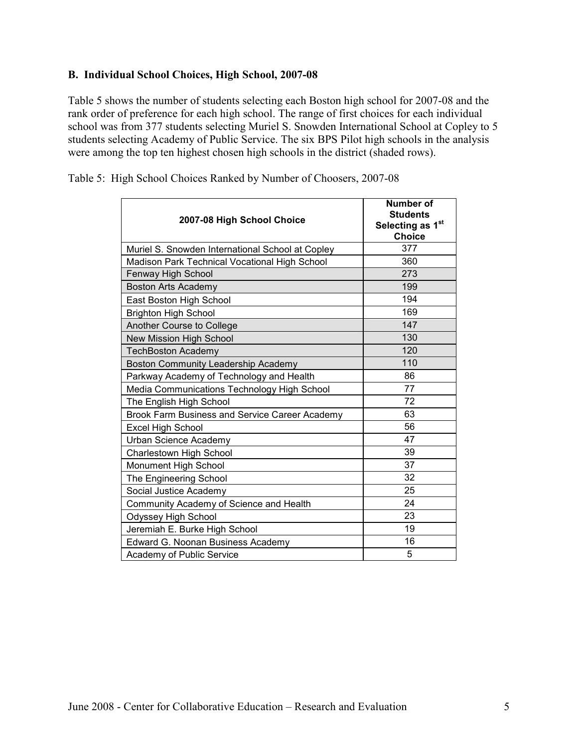#### B. Individual School Choices, High School, 2007-08

Table 5 shows the number of students selecting each Boston high school for 2007-08 and the rank order of preference for each high school. The range of first choices for each individual school was from 377 students selecting Muriel S. Snowden International School at Copley to 5 students selecting Academy of Public Service. The six BPS Pilot high schools in the analysis were among the top ten highest chosen high schools in the district (shaded rows).

| 2007-08 High School Choice                       | <b>Number of</b><br><b>Students</b><br>Selecting as 1st<br><b>Choice</b> |
|--------------------------------------------------|--------------------------------------------------------------------------|
| Muriel S. Snowden International School at Copley | 377                                                                      |
| Madison Park Technical Vocational High School    | 360                                                                      |
| Fenway High School                               | 273                                                                      |
| <b>Boston Arts Academy</b>                       | 199                                                                      |
| East Boston High School                          | 194                                                                      |
| <b>Brighton High School</b>                      | 169                                                                      |
| Another Course to College                        | 147                                                                      |
| New Mission High School                          | 130                                                                      |
| <b>TechBoston Academy</b>                        | 120                                                                      |
| Boston Community Leadership Academy              | 110                                                                      |
| Parkway Academy of Technology and Health         | 86                                                                       |
| Media Communications Technology High School      | 77                                                                       |
| The English High School                          | 72                                                                       |
| Brook Farm Business and Service Career Academy   | 63                                                                       |
| <b>Excel High School</b>                         | 56                                                                       |
| Urban Science Academy                            | 47                                                                       |
| Charlestown High School                          | 39                                                                       |
| Monument High School                             | 37                                                                       |
| The Engineering School                           | 32                                                                       |
| Social Justice Academy                           | 25                                                                       |
| Community Academy of Science and Health          | 24                                                                       |
| Odyssey High School                              | 23                                                                       |
| Jeremiah E. Burke High School                    | 19                                                                       |
| Edward G. Noonan Business Academy                | 16                                                                       |
| Academy of Public Service                        | 5                                                                        |

Table 5: High School Choices Ranked by Number of Choosers, 2007-08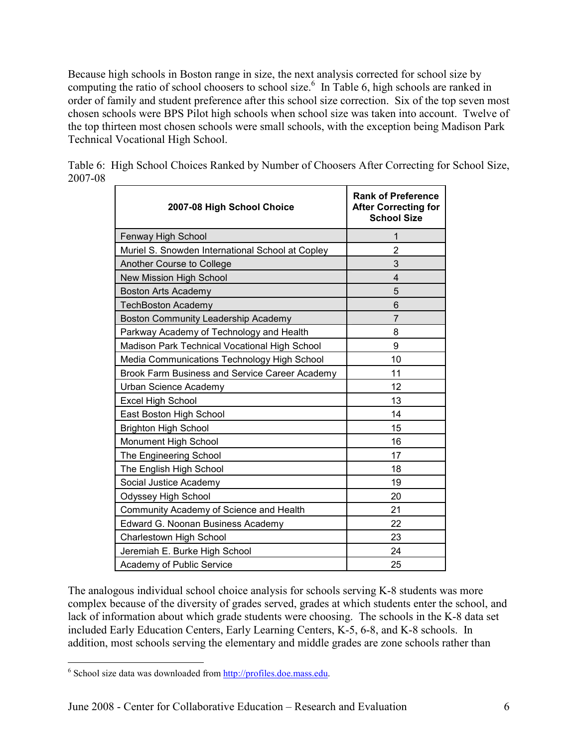Because high schools in Boston range in size, the next analysis corrected for school size by computing the ratio of school choosers to school size.<sup>6</sup> In Table 6, high schools are ranked in order of family and student preference after this school size correction. Six of the top seven most chosen schools were BPS Pilot high schools when school size was taken into account. Twelve of the top thirteen most chosen schools were small schools, with the exception being Madison Park Technical Vocational High School.

| 2007-08 High School Choice                       | <b>Rank of Preference</b><br><b>After Correcting for</b><br><b>School Size</b> |  |
|--------------------------------------------------|--------------------------------------------------------------------------------|--|
| Fenway High School                               | 1                                                                              |  |
| Muriel S. Snowden International School at Copley | $\overline{2}$                                                                 |  |
| Another Course to College                        | 3                                                                              |  |
| New Mission High School                          | $\overline{4}$                                                                 |  |
| <b>Boston Arts Academy</b>                       | 5                                                                              |  |
| <b>TechBoston Academy</b>                        | 6                                                                              |  |
| Boston Community Leadership Academy              | $\overline{7}$                                                                 |  |
| Parkway Academy of Technology and Health         | 8                                                                              |  |
| Madison Park Technical Vocational High School    | 9                                                                              |  |
| Media Communications Technology High School      | 10                                                                             |  |
| Brook Farm Business and Service Career Academy   | 11                                                                             |  |
| Urban Science Academy                            | 12                                                                             |  |
| <b>Excel High School</b>                         | 13                                                                             |  |
| East Boston High School                          | 14                                                                             |  |
| <b>Brighton High School</b>                      | 15                                                                             |  |
| Monument High School                             | 16                                                                             |  |
| The Engineering School                           | 17                                                                             |  |
| The English High School                          | 18                                                                             |  |
| Social Justice Academy                           | 19                                                                             |  |
| Odyssey High School                              | 20                                                                             |  |
| Community Academy of Science and Health          | 21                                                                             |  |
| Edward G. Noonan Business Academy                | 22                                                                             |  |
| Charlestown High School                          | 23                                                                             |  |
| Jeremiah E. Burke High School                    | 24                                                                             |  |
| Academy of Public Service                        | 25                                                                             |  |

Table 6: High School Choices Ranked by Number of Choosers After Correcting for School Size, 2007-08

The analogous individual school choice analysis for schools serving K-8 students was more complex because of the diversity of grades served, grades at which students enter the school, and lack of information about which grade students were choosing. The schools in the K-8 data set included Early Education Centers, Early Learning Centers, K-5, 6-8, and K-8 schools. In addition, most schools serving the elementary and middle grades are zone schools rather than

<sup>&</sup>lt;u>.</u> <sup>6</sup> School size data was downloaded from http://profiles.doe.mass.edu.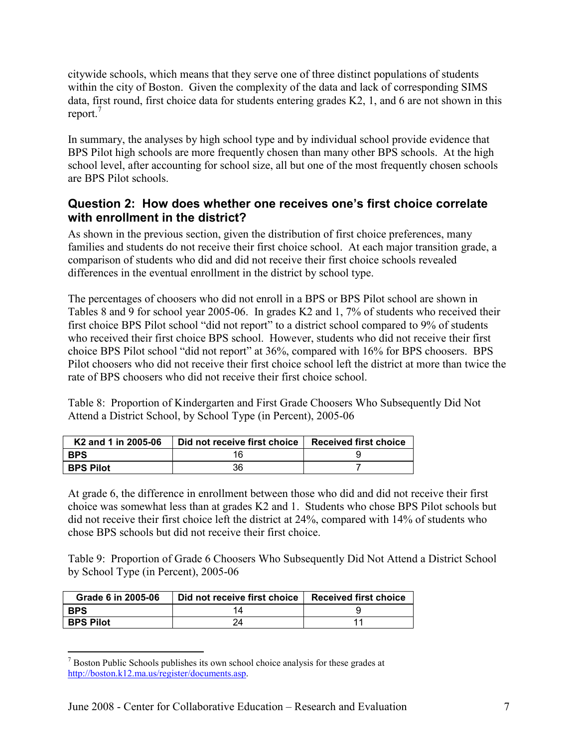citywide schools, which means that they serve one of three distinct populations of students within the city of Boston. Given the complexity of the data and lack of corresponding SIMS data, first round, first choice data for students entering grades K2, 1, and 6 are not shown in this report.<sup>7</sup>

In summary, the analyses by high school type and by individual school provide evidence that BPS Pilot high schools are more frequently chosen than many other BPS schools. At the high school level, after accounting for school size, all but one of the most frequently chosen schools are BPS Pilot schools.

#### Question 2: How does whether one receives one's first choice correlate with enrollment in the district?

As shown in the previous section, given the distribution of first choice preferences, many families and students do not receive their first choice school. At each major transition grade, a comparison of students who did and did not receive their first choice schools revealed differences in the eventual enrollment in the district by school type.

The percentages of choosers who did not enroll in a BPS or BPS Pilot school are shown in Tables 8 and 9 for school year 2005-06. In grades K2 and 1, 7% of students who received their first choice BPS Pilot school "did not report" to a district school compared to 9% of students who received their first choice BPS school. However, students who did not receive their first choice BPS Pilot school "did not report" at 36%, compared with 16% for BPS choosers. BPS Pilot choosers who did not receive their first choice school left the district at more than twice the rate of BPS choosers who did not receive their first choice school.

Table 8: Proportion of Kindergarten and First Grade Choosers Who Subsequently Did Not Attend a District School, by School Type (in Percent), 2005-06

| K <sub>2</sub> and 1 in 2005-06 | Did not receive first choice | <b>Received first choice</b> |
|---------------------------------|------------------------------|------------------------------|
| <b>BPS</b>                      | าห                           |                              |
| <b>BPS Pilot</b>                | 36                           |                              |

At grade 6, the difference in enrollment between those who did and did not receive their first choice was somewhat less than at grades K2 and 1. Students who chose BPS Pilot schools but did not receive their first choice left the district at 24%, compared with 14% of students who chose BPS schools but did not receive their first choice.

Table 9: Proportion of Grade 6 Choosers Who Subsequently Did Not Attend a District School by School Type (in Percent), 2005-06

| Grade 6 in 2005-06 | Did not receive first choice | <b>Received first choice</b> |
|--------------------|------------------------------|------------------------------|
| <b>BPS</b>         |                              |                              |
| <b>BPS Pilot</b>   |                              |                              |

<sup>&</sup>lt;sup>7</sup> Boston Public Schools publishes its own school choice analysis for these grades at <sup>7</sup> http://boston.k12.ma.us/register/documents.asp.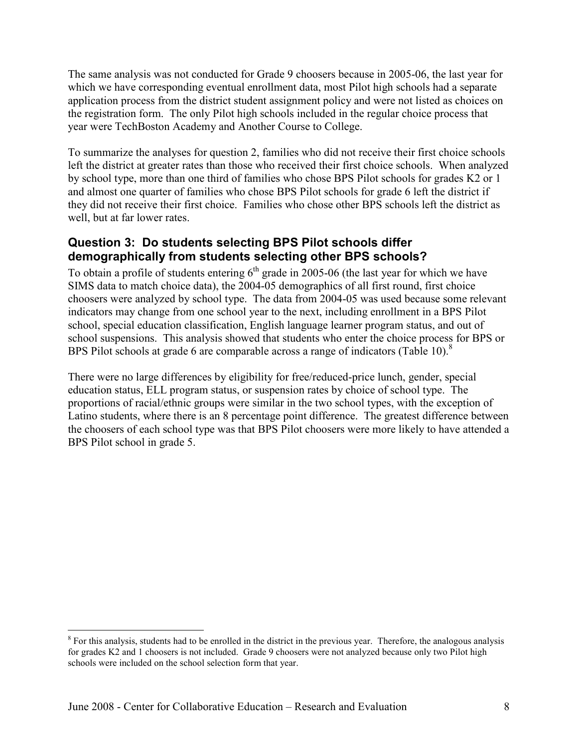The same analysis was not conducted for Grade 9 choosers because in 2005-06, the last year for which we have corresponding eventual enrollment data, most Pilot high schools had a separate application process from the district student assignment policy and were not listed as choices on the registration form. The only Pilot high schools included in the regular choice process that year were TechBoston Academy and Another Course to College.

To summarize the analyses for question 2, families who did not receive their first choice schools left the district at greater rates than those who received their first choice schools. When analyzed by school type, more than one third of families who chose BPS Pilot schools for grades K2 or 1 and almost one quarter of families who chose BPS Pilot schools for grade 6 left the district if they did not receive their first choice. Families who chose other BPS schools left the district as well, but at far lower rates.

#### Question 3: Do students selecting BPS Pilot schools differ demographically from students selecting other BPS schools?

To obtain a profile of students entering  $6<sup>th</sup>$  grade in 2005-06 (the last year for which we have SIMS data to match choice data), the 2004-05 demographics of all first round, first choice choosers were analyzed by school type. The data from 2004-05 was used because some relevant indicators may change from one school year to the next, including enrollment in a BPS Pilot school, special education classification, English language learner program status, and out of school suspensions. This analysis showed that students who enter the choice process for BPS or BPS Pilot schools at grade 6 are comparable across a range of indicators (Table 10). $8$ 

There were no large differences by eligibility for free/reduced-price lunch, gender, special education status, ELL program status, or suspension rates by choice of school type. The proportions of racial/ethnic groups were similar in the two school types, with the exception of Latino students, where there is an 8 percentage point difference. The greatest difference between the choosers of each school type was that BPS Pilot choosers were more likely to have attended a BPS Pilot school in grade 5.

<sup>&</sup>lt;u>.</u> <sup>8</sup> For this analysis, students had to be enrolled in the district in the previous year. Therefore, the analogous analysis for grades K2 and 1 choosers is not included. Grade 9 choosers were not analyzed because only two Pilot high schools were included on the school selection form that year.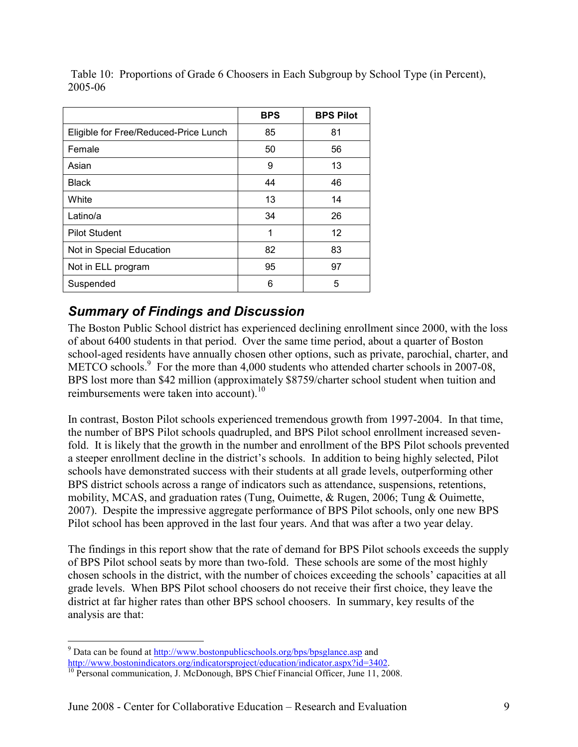|                                       | <b>BPS</b> | <b>BPS Pilot</b> |
|---------------------------------------|------------|------------------|
| Eligible for Free/Reduced-Price Lunch | 85         | 81               |
| Female                                | 50         | 56               |
| Asian                                 | 9          | 13               |
| <b>Black</b>                          | 44         | 46               |
| White                                 | 13         | 14               |
| Latino/a                              | 34         | 26               |
| <b>Pilot Student</b>                  | 1          | 12               |
| Not in Special Education              | 82         | 83               |
| Not in ELL program                    | 95         | 97               |
| Suspended                             | 6          | 5                |

 Table 10: Proportions of Grade 6 Choosers in Each Subgroup by School Type (in Percent), 2005-06

# Summary of Findings and Discussion

The Boston Public School district has experienced declining enrollment since 2000, with the loss of about 6400 students in that period. Over the same time period, about a quarter of Boston school-aged residents have annually chosen other options, such as private, parochial, charter, and METCO schools.<sup>9</sup> For the more than 4,000 students who attended charter schools in 2007-08, BPS lost more than \$42 million (approximately \$8759/charter school student when tuition and reimbursements were taken into account).<sup>10</sup>

In contrast, Boston Pilot schools experienced tremendous growth from 1997-2004. In that time, the number of BPS Pilot schools quadrupled, and BPS Pilot school enrollment increased sevenfold. It is likely that the growth in the number and enrollment of the BPS Pilot schools prevented a steeper enrollment decline in the district's schools. In addition to being highly selected, Pilot schools have demonstrated success with their students at all grade levels, outperforming other BPS district schools across a range of indicators such as attendance, suspensions, retentions, mobility, MCAS, and graduation rates (Tung, Ouimette, & Rugen, 2006; Tung & Ouimette, 2007). Despite the impressive aggregate performance of BPS Pilot schools, only one new BPS Pilot school has been approved in the last four years. And that was after a two year delay.

The findings in this report show that the rate of demand for BPS Pilot schools exceeds the supply of BPS Pilot school seats by more than two-fold. These schools are some of the most highly chosen schools in the district, with the number of choices exceeding the schools' capacities at all grade levels. When BPS Pilot school choosers do not receive their first choice, they leave the district at far higher rates than other BPS school choosers. In summary, key results of the analysis are that:

P<br>
<sup>9</sup> Data can be found at <u>http://www.bostonpublicschools.org/bps/bpsglance.asp</u> and http://www.bostonindicators.org/indicatorsproject/education/indicator.aspx?id=3402.

<sup>&</sup>lt;sup>10</sup> Personal communication, J. McDonough, BPS Chief Financial Officer, June 11, 2008.